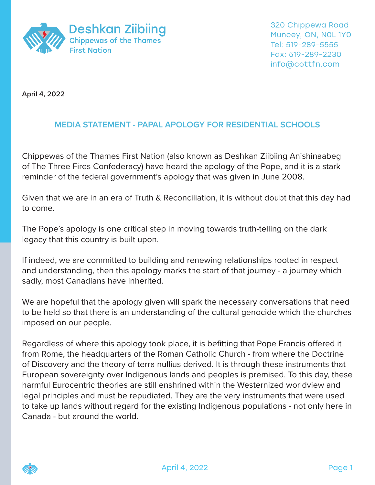

**April 4, 2022**

## **MEDIA STATEMENT - PAPAL APOLOGY FOR RESIDENTIAL SCHOOLS**

Chippewas of the Thames First Nation (also known as Deshkan Ziibiing Anishinaabeg of The Three Fires Confederacy) have heard the apology of the Pope, and it is a stark reminder of the federal government's apology that was given in June 2008.

Given that we are in an era of Truth & Reconciliation, it is without doubt that this day had to come.

The Pope's apology is one critical step in moving towards truth-telling on the dark legacy that this country is built upon.

If indeed, we are committed to building and renewing relationships rooted in respect and understanding, then this apology marks the start of that journey - a journey which sadly, most Canadians have inherited.

We are hopeful that the apology given will spark the necessary conversations that need to be held so that there is an understanding of the cultural genocide which the churches imposed on our people.

Regardless of where this apology took place, it is befitting that Pope Francis offered it from Rome, the headquarters of the Roman Catholic Church - from where the Doctrine of Discovery and the theory of terra nullius derived. It is through these instruments that European sovereignty over Indigenous lands and peoples is premised. To this day, these harmful Eurocentric theories are still enshrined within the Westernized worldview and legal principles and must be repudiated. They are the very instruments that were used to take up lands without regard for the existing Indigenous populations - not only here in Canada - but around the world.